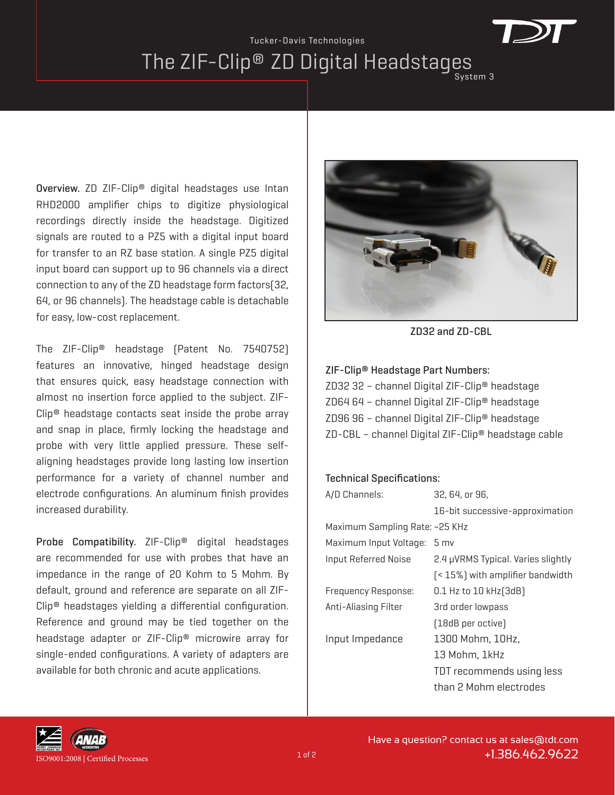## The ZIF-Clip® ZD Digital Headstages System 3 Tucker-Davis Technologies

Overview. ZD ZIF-Clip® digital headstages use Intan RHD2000 amplifier chips to digitize physiological recordings directly inside the headstage. Digitized signals are routed to a PZ5 with a digital input board for transfer to an RZ base station. A single PZ5 digital input board can support up to 96 channels via a direct connection to any of the ZD headstage form factors(32, 64, or 96 channels). The headstage cable is detachable for easy, low-cost replacement.

The ZIF-Clip® headstage (Patent No. 7540752) features an innovative, hinged headstage design that ensures quick, easy headstage connection with almost no insertion force applied to the subject. ZIF-Clip® headstage contacts seat inside the probe array and snap in place, firmly locking the headstage and probe with very little applied pressure. These selfaligning headstages provide long lasting low insertion performance for a variety of channel number and electrode configurations. An aluminum finish provides increased durability.

Probe Compatibility. ZIF-Clip® digital headstages are recommended for use with probes that have an impedance in the range of 20 Kohm to 5 Mohm. By default, ground and reference are separate on all ZIF-Clip® headstages yielding a differential configuration. Reference and ground may be tied together on the headstage adapter or ZIF-Clip® microwire array for single-ended configurations. A variety of adapters are available for both chronic and acute applications.



ZD32 and ZD-CBL

## ZIF-Clip® Headstage Part Numbers:

ZD32 32 – channel Digital ZIF-Clip® headstage ZD64 64 – channel Digital ZIF-Clip® headstage ZD96 96 – channel Digital ZIF-Clip® headstage ZD-CBL – channel Digital ZIF-Clip® headstage cable

## Technical Specifications:

| A/D Channels:                  | 32, 64, or 96,                     |  |  |  |
|--------------------------------|------------------------------------|--|--|--|
|                                | 16-bit successive-approximation    |  |  |  |
| Maximum Sampling Rate: ~25 KHz |                                    |  |  |  |
| Maximum Input Voltage: 5 mv    |                                    |  |  |  |
| <b>Input Referred Noise</b>    | 2.4 µVRMS Typical. Varies slightly |  |  |  |
|                                | [<15%] with amplifier bandwidth    |  |  |  |
| <b>Frequency Response:</b>     | 0.1 Hz to 10 kHz [3dB]             |  |  |  |
| Anti-Aliasing Filter           | 3rd order lowpass                  |  |  |  |
|                                | [18dB per octive]                  |  |  |  |
| Input Impedance                | 1300 Mohm, 10Hz,                   |  |  |  |
|                                | 13 Mohm, 1kHz                      |  |  |  |
|                                | TDT recommends using less          |  |  |  |
|                                | than 2 Mohm electrodes             |  |  |  |